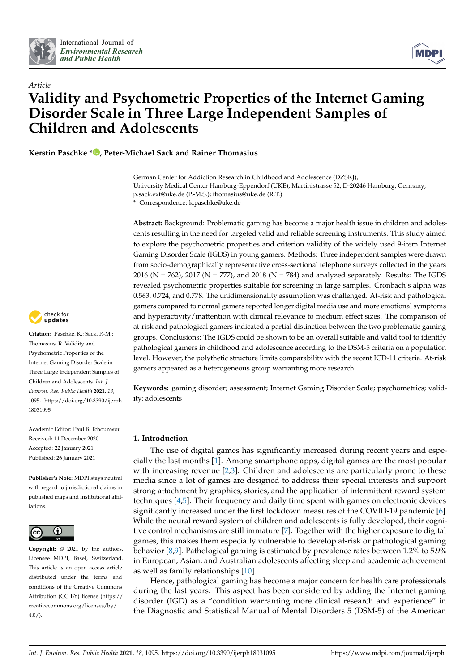



# *Article* **Validity and Psychometric Properties of the Internet Gaming Disorder Scale in Three Large Independent Samples of Children and Adolescents**

**Kerstin Paschke [\\*](https://orcid.org/0000-0002-9090-2782) , Peter-Michael Sack and Rainer Thomasius**

German Center for Addiction Research in Childhood and Adolescence (DZSKJ), University Medical Center Hamburg-Eppendorf (UKE), Martinistrasse 52, D-20246 Hamburg, Germany; p.sack.ext@uke.de (P.-M.S.); thomasius@uke.de (R.T.) **\*** Correspondence: k.paschke@uke.de

**Abstract:** Background: Problematic gaming has become a major health issue in children and adolescents resulting in the need for targeted valid and reliable screening instruments. This study aimed to explore the psychometric properties and criterion validity of the widely used 9-item Internet Gaming Disorder Scale (IGDS) in young gamers. Methods: Three independent samples were drawn from socio-demographically representative cross-sectional telephone surveys collected in the years 2016 (N = 762), 2017 (N = 777), and 2018 (N = 784) and analyzed separately. Results: The IGDS revealed psychometric properties suitable for screening in large samples. Cronbach's alpha was 0.563, 0.724, and 0.778. The unidimensionality assumption was challenged. At-risk and pathological gamers compared to normal gamers reported longer digital media use and more emotional symptoms and hyperactivity/inattention with clinical relevance to medium effect sizes. The comparison of at-risk and pathological gamers indicated a partial distinction between the two problematic gaming groups. Conclusions: The IGDS could be shown to be an overall suitable and valid tool to identify pathological gamers in childhood and adolescence according to the DSM-5 criteria on a population level. However, the polythetic structure limits comparability with the recent ICD-11 criteria. At-risk gamers appeared as a heterogeneous group warranting more research.

**Keywords:** gaming disorder; assessment; Internet Gaming Disorder Scale; psychometrics; validity; adolescents

# **1. Introduction**

The use of digital games has significantly increased during recent years and especially the last months [\[1\]](#page-11-0). Among smartphone apps, digital games are the most popular with increasing revenue [\[2](#page-11-1)[,3\]](#page-11-2). Children and adolescents are particularly prone to these media since a lot of games are designed to address their special interests and support strong attachment by graphics, stories, and the application of intermittent reward system techniques [\[4,](#page-11-3)[5\]](#page-11-4). Their frequency and daily time spent with games on electronic devices significantly increased under the first lockdown measures of the COVID-19 pandemic [\[6\]](#page-11-5). While the neural reward system of children and adolescents is fully developed, their cognitive control mechanisms are still immature [\[7\]](#page-11-6). Together with the higher exposure to digital games, this makes them especially vulnerable to develop at-risk or pathological gaming behavior [\[8,](#page-11-7)[9\]](#page-11-8). Pathological gaming is estimated by prevalence rates between 1.2% to 5.9% in European, Asian, and Australian adolescents affecting sleep and academic achievement as well as family relationships [\[10\]](#page-11-9).

Hence, pathological gaming has become a major concern for health care professionals during the last years. This aspect has been considered by adding the Internet gaming disorder (IGD) as a "condition warranting more clinical research and experience" in the Diagnostic and Statistical Manual of Mental Disorders 5 (DSM-5) of the American



**Citation:** Paschke, K.; Sack, P.-M.; Thomasius, R. Validity and Psychometric Properties of the Internet Gaming Disorder Scale in Three Large Independent Samples of Children and Adolescents. *Int. J. Environ. Res. Public Health* **2021**, *18*, 1095. [https://doi.org/10.3390/ijerph](https://doi.org/10.3390/ijerph18031095) [18031095](https://doi.org/10.3390/ijerph18031095)

Academic Editor: Paul B. Tchounwou Received: 11 December 2020 Accepted: 22 January 2021 Published: 26 January 2021

**Publisher's Note:** MDPI stays neutral with regard to jurisdictional claims in published maps and institutional affiliations.



**Copyright:** © 2021 by the authors. Licensee MDPI, Basel, Switzerland. This article is an open access article distributed under the terms and conditions of the Creative Commons Attribution (CC BY) license (https:/[/](https://creativecommons.org/licenses/by/4.0/) [creativecommons.org/licenses/by/](https://creativecommons.org/licenses/by/4.0/) 4.0/).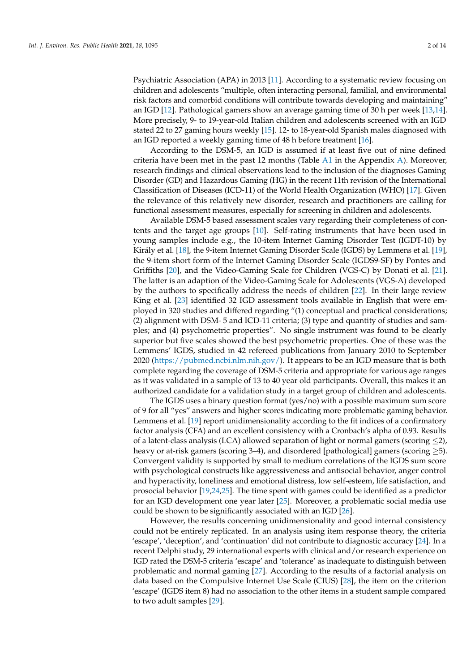Psychiatric Association (APA) in 2013 [\[11\]](#page-11-10). According to a systematic review focusing on children and adolescents "multiple, often interacting personal, familial, and environmental risk factors and comorbid conditions will contribute towards developing and maintaining" an IGD [\[12\]](#page-11-11). Pathological gamers show an average gaming time of 30 h per week [\[13,](#page-11-12)[14\]](#page-11-13). More precisely, 9- to 19-year-old Italian children and adolescents screened with an IGD stated 22 to 27 gaming hours weekly [\[15\]](#page-11-14). 12- to 18-year-old Spanish males diagnosed with an IGD reported a weekly gaming time of 48 h before treatment [\[16\]](#page-11-15).

According to the DSM-5, an IGD is assumed if at least five out of nine defined criteria have been met in the past 12 months (Table [A1](#page-10-0) in the Appendix [A\)](#page-10-1). Moreover, research findings and clinical observations lead to the inclusion of the diagnoses Gaming Disorder (GD) and Hazardous Gaming (HG) in the recent 11th revision of the International Classification of Diseases (ICD-11) of the World Health Organization (WHO) [\[17\]](#page-12-0). Given the relevance of this relatively new disorder, research and practitioners are calling for functional assessment measures, especially for screening in children and adolescents.

Available DSM-5 based assessment scales vary regarding their completeness of contents and the target age groups [\[10\]](#page-11-9). Self-rating instruments that have been used in young samples include e.g., the 10-item Internet Gaming Disorder Test (IGDT-10) by Király et al. [\[18\]](#page-12-1), the 9-item Internet Gaming Disorder Scale (IGDS) by Lemmens et al. [\[19\]](#page-12-2), the 9-item short form of the Internet Gaming Disorder Scale (IGDS9-SF) by Pontes and Griffiths [\[20\]](#page-12-3), and the Video-Gaming Scale for Children (VGS-C) by Donati et al. [\[21\]](#page-12-4). The latter is an adaption of the Video-Gaming Scale for Adolescents (VGS-A) developed by the authors to specifically address the needs of children [\[22\]](#page-12-5). In their large review King et al. [\[23\]](#page-12-6) identified 32 IGD assessment tools available in English that were employed in 320 studies and differed regarding "(1) conceptual and practical considerations; (2) alignment with DSM- 5 and ICD-11 criteria; (3) type and quantity of studies and samples; and (4) psychometric properties". No single instrument was found to be clearly superior but five scales showed the best psychometric properties. One of these was the Lemmens' IGDS, studied in 42 refereed publications from January 2010 to September 2020 [\(https://pubmed.ncbi.nlm.nih.gov/\)](https://pubmed.ncbi.nlm.nih.gov/). It appears to be an IGD measure that is both complete regarding the coverage of DSM-5 criteria and appropriate for various age ranges as it was validated in a sample of 13 to 40 year old participants. Overall, this makes it an authorized candidate for a validation study in a target group of children and adolescents.

The IGDS uses a binary question format (yes/no) with a possible maximum sum score of 9 for all "yes" answers and higher scores indicating more problematic gaming behavior. Lemmens et al. [\[19\]](#page-12-2) report unidimensionality according to the fit indices of a confirmatory factor analysis (CFA) and an excellent consistency with a Cronbach's alpha of 0.93. Results of a latent-class analysis (LCA) allowed separation of light or normal gamers (scoring  $\leq$ 2), heavy or at-risk gamers (scoring 3–4), and disordered [pathological] gamers (scoring  $\geq$ 5). Convergent validity is supported by small to medium correlations of the IGDS sum score with psychological constructs like aggressiveness and antisocial behavior, anger control and hyperactivity, loneliness and emotional distress, low self-esteem, life satisfaction, and prosocial behavior [\[19](#page-12-2)[,24](#page-12-7)[,25\]](#page-12-8). The time spent with games could be identified as a predictor for an IGD development one year later [\[25\]](#page-12-8). Moreover, a problematic social media use could be shown to be significantly associated with an IGD [\[26\]](#page-12-9).

However, the results concerning unidimensionality and good internal consistency could not be entirely replicated. In an analysis using item response theory, the criteria 'escape', 'deception', and 'continuation' did not contribute to diagnostic accuracy [\[24\]](#page-12-7). In a recent Delphi study, 29 international experts with clinical and/or research experience on IGD rated the DSM-5 criteria 'escape' and 'tolerance' as inadequate to distinguish between problematic and normal gaming [\[27\]](#page-12-10). According to the results of a factorial analysis on data based on the Compulsive Internet Use Scale (CIUS) [\[28\]](#page-12-11), the item on the criterion 'escape' (IGDS item 8) had no association to the other items in a student sample compared to two adult samples [\[29\]](#page-12-12).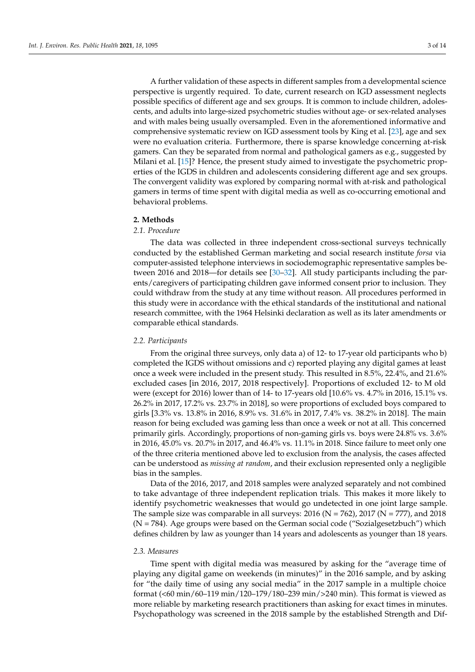A further validation of these aspects in different samples from a developmental science perspective is urgently required. To date, current research on IGD assessment neglects possible specifics of different age and sex groups. It is common to include children, adolescents, and adults into large-sized psychometric studies without age- or sex-related analyses and with males being usually oversampled. Even in the aforementioned informative and comprehensive systematic review on IGD assessment tools by King et al. [\[23\]](#page-12-6), age and sex were no evaluation criteria. Furthermore, there is sparse knowledge concerning at-risk gamers. Can they be separated from normal and pathological gamers as e.g., suggested by Milani et al. [\[15\]](#page-11-14)? Hence, the present study aimed to investigate the psychometric properties of the IGDS in children and adolescents considering different age and sex groups. The convergent validity was explored by comparing normal with at-risk and pathological gamers in terms of time spent with digital media as well as co-occurring emotional and behavioral problems.

### **2. Methods**

# *2.1. Procedure*

The data was collected in three independent cross-sectional surveys technically conducted by the established German marketing and social research institute *forsa* via computer-assisted telephone interviews in sociodemographic representative samples between 2016 and 2018—for details see [\[30](#page-12-13)[–32\]](#page-12-14). All study participants including the parents/caregivers of participating children gave informed consent prior to inclusion. They could withdraw from the study at any time without reason. All procedures performed in this study were in accordance with the ethical standards of the institutional and national research committee, with the 1964 Helsinki declaration as well as its later amendments or comparable ethical standards.

## *2.2. Participants*

From the original three surveys, only data a) of 12- to 17-year old participants who b) completed the IGDS without omissions and c) reported playing any digital games at least once a week were included in the present study. This resulted in 8.5%, 22.4%, and 21.6% excluded cases [in 2016, 2017, 2018 respectively]. Proportions of excluded 12- to M old were (except for 2016) lower than of 14- to 17-years old [10.6% vs. 4.7% in 2016, 15.1% vs. 26.2% in 2017, 17.2% vs. 23.7% in 2018], so were proportions of excluded boys compared to girls [3.3% vs. 13.8% in 2016, 8.9% vs. 31.6% in 2017, 7.4% vs. 38.2% in 2018]. The main reason for being excluded was gaming less than once a week or not at all. This concerned primarily girls. Accordingly, proportions of non-gaming girls vs. boys were 24.8% vs. 3.6% in 2016, 45.0% vs. 20.7% in 2017, and 46.4% vs. 11.1% in 2018. Since failure to meet only one of the three criteria mentioned above led to exclusion from the analysis, the cases affected can be understood as *missing at random*, and their exclusion represented only a negligible bias in the samples.

Data of the 2016, 2017, and 2018 samples were analyzed separately and not combined to take advantage of three independent replication trials. This makes it more likely to identify psychometric weaknesses that would go undetected in one joint large sample. The sample size was comparable in all surveys:  $2016$  (N = 762), 2017 (N = 777), and 2018  $(N = 784)$ . Age groups were based on the German social code ("Sozialgesetzbuch") which defines children by law as younger than 14 years and adolescents as younger than 18 years.

#### *2.3. Measures*

Time spent with digital media was measured by asking for the "average time of playing any digital game on weekends (in minutes)" in the 2016 sample, and by asking for "the daily time of using any social media" in the 2017 sample in a multiple choice format (<60 min/60–119 min/120–179/180–239 min/>240 min). This format is viewed as more reliable by marketing research practitioners than asking for exact times in minutes. Psychopathology was screened in the 2018 sample by the established Strength and Dif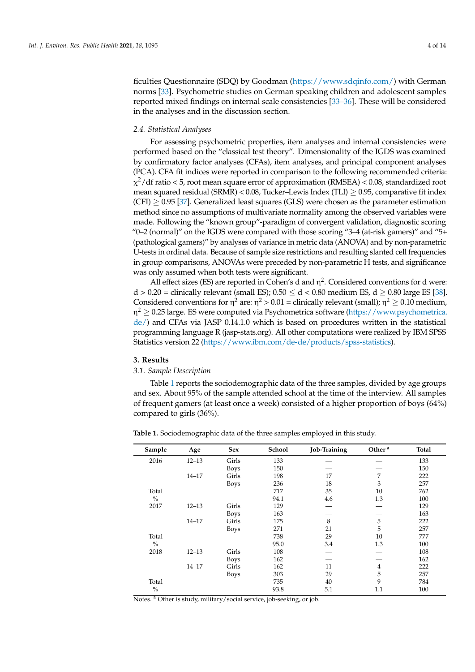ficulties Questionnaire (SDQ) by Goodman [\(https://www.sdqinfo.com/\)](https://www.sdqinfo.com/) with German norms [\[33\]](#page-12-15). Psychometric studies on German speaking children and adolescent samples reported mixed findings on internal scale consistencies [\[33–](#page-12-15)[36\]](#page-12-16). These will be considered in the analyses and in the discussion section.

## *2.4. Statistical Analyses*

For assessing psychometric properties, item analyses and internal consistencies were performed based on the "classical test theory". Dimensionality of the IGDS was examined by confirmatory factor analyses (CFAs), item analyses, and principal component analyses (PCA). CFA fit indices were reported in comparison to the following recommended criteria:  $\chi^2/\text{df}$  ratio < 5, root mean square error of approximation (RMSEA) < 0.08, standardized root mean squared residual (SRMR) <  $0.08$ , Tucker–Lewis Index (TLI)  $> 0.95$ , comparative fit index  $(CFI) \geq 0.95$  [\[37\]](#page-12-17). Generalized least squares (GLS) were chosen as the parameter estimation method since no assumptions of multivariate normality among the observed variables were made. Following the "known group"-paradigm of convergent validation, diagnostic scoring "0–2 (normal)" on the IGDS were compared with those scoring "3–4 (at-risk gamers)" and "5+ (pathological gamers)" by analyses of variance in metric data (ANOVA) and by non-parametric U-tests in ordinal data. Because of sample size restrictions and resulting slanted cell frequencies in group comparisons, ANOVAs were preceded by non-parametric H tests, and significance was only assumed when both tests were significant.

All effect sizes (ES) are reported in Cohen's d and  $\eta^2$ . Considered conventions for d were: d > 0.20 = clinically relevant (small ES);  $0.50 \le d < 0.80$  medium ES,  $d \ge 0.80$  large ES [\[38\]](#page-12-18). Considered conventions for  $\eta^2$  are:  $\eta^2 > 0.01$  = clinically relevant (small);  $\eta^2 \ge 0.10$  medium, η $^2$   $\geq$  0.25 large. ES were computed via Psychometrica software [\(https://www.psychometrica.](https://www.psychometrica.de/) [de/\)](https://www.psychometrica.de/) and CFAs via JASP 0.14.1.0 which is based on procedures written in the statistical programming language R (jasp-stats.org). All other computations were realized by IBM SPSS Statistics version 22 [\(https://www.ibm.com/de-de/products/spss-statistics\)](https://www.ibm.com/de-de/products/spss-statistics).

#### **3. Results**

# *3.1. Sample Description*

Table [1](#page-3-0) reports the sociodemographic data of the three samples, divided by age groups and sex. About 95% of the sample attended school at the time of the interview. All samples of frequent gamers (at least once a week) consisted of a higher proportion of boys (64%) compared to girls (36%).

**Sample Age Sex School Job-Training Other <sup>a</sup> Total** 2016 12–13 Girls 133 — — 133 Boys 150 — — 150 14–17 Girls 198 17 7 222 Boys 236 18 3 257 Total  $\frac{\%}{2017}$ 717 94.1<br>129 35 4.6 10 1.3 762 100<br>129 2017 12–13 Girls 129 — — 129 Boys 163 — — 163 14–17 Girls 175 8 5 222 Boys 271 21 5 257 Total  $\%$ 738 95.0 29 3.4 10 1.3 777  $\frac{100}{108}$ 2018 12–13 Girls 108 — — 108 Boys 162 — — 162 14–17 Girls 162 11 4 222 Boys 303 29 5 257 Total  $\frac{0}{6}$ 735 93.8 40 5.1 9 1.1 784 100

<span id="page-3-0"></span>**Table 1.** Sociodemographic data of the three samples employed in this study.

Notes. <sup>a</sup> Other is study, military/social service, job-seeking, or job.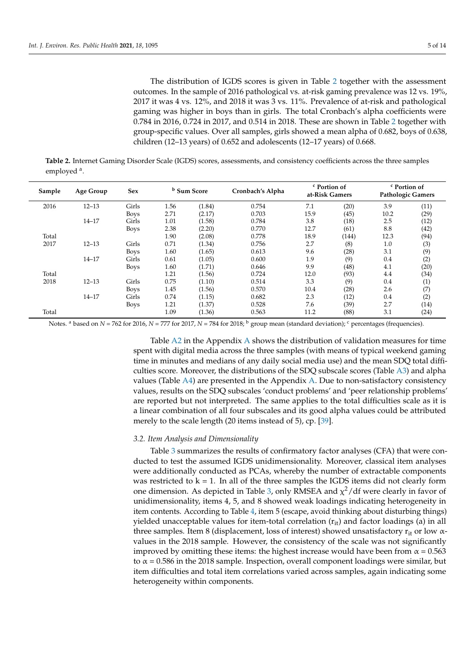The distribution of IGDS scores is given in Table [2](#page-4-0) together with the assessment outcomes. In the sample of 2016 pathological vs. at-risk gaming prevalence was 12 vs. 19%, 2017 it was 4 vs. 12%, and 2018 it was 3 vs. 11%. Prevalence of at-risk and pathological gaming was higher in boys than in girls. The total Cronbach's alpha coefficients were 0.784 in 2016, 0.724 in 2017, and 0.514 in 2018. These are shown in Table [2](#page-4-0) together with group-specific values. Over all samples, girls showed a mean alpha of 0.682, boys of 0.638, children (12–13 years) of 0.652 and adolescents (12–17 years) of 0.668.

<span id="page-4-0"></span>**Table 2.** Internet Gaming Disorder Scale (IGDS) scores, assessments, and consistency coefficients across the three samples employed<sup>a</sup>.

| Sample | Age Group | <b>Sex</b>  |      | <sup>b</sup> Sum Score | Cronbach's Alpha | <sup>c</sup> Portion of<br>at-Risk Gamers |       | <sup>c</sup> Portion of<br><b>Pathologic Gamers</b> |      |
|--------|-----------|-------------|------|------------------------|------------------|-------------------------------------------|-------|-----------------------------------------------------|------|
| 2016   | $12 - 13$ | Girls       | 1.56 | (1.84)                 | 0.754            | 7.1                                       | (20)  | 3.9                                                 | (11) |
|        |           | <b>Boys</b> | 2.71 | (2.17)                 | 0.703            | 15.9                                      | (45)  | 10.2                                                | (29) |
|        | $14 - 17$ | Girls       | 1.01 | (1.58)                 | 0.784            | 3.8                                       | (18)  | 2.5                                                 | (12) |
|        |           | <b>Boys</b> | 2.38 | (2.20)                 | 0.770            | 12.7                                      | (61)  | 8.8                                                 | (42) |
| Total  |           |             | 1.90 | (2.08)                 | 0.778            | 18.9                                      | (144) | 12.3                                                | (94) |
| 2017   | $12 - 13$ | Girls       | 0.71 | (1.34)                 | 0.756            | 2.7                                       | (8)   | 1.0                                                 | (3)  |
|        |           | <b>Boys</b> | 1.60 | (1.65)                 | 0.613            | 9.6                                       | (28)  | 3.1                                                 | (9)  |
|        | $14 - 17$ | Girls       | 0.61 | (1.05)                 | 0.600            | 1.9                                       | (9)   | 0.4                                                 | (2)  |
|        |           | <b>Boys</b> | 1.60 | (1.71)                 | 0.646            | 9.9                                       | (48)  | 4.1                                                 | (20) |
| Total  |           |             | 1.21 | (1.56)                 | 0.724            | 12.0                                      | (93)  | 4.4                                                 | (34) |
| 2018   | $12 - 13$ | Girls       | 0.75 | (1.10)                 | 0.514            | 3.3                                       | (9)   | 0.4                                                 | (1)  |
|        |           | <b>Boys</b> | 1.45 | (1.56)                 | 0.570            | 10.4                                      | (28)  | 2.6                                                 | (7)  |
|        | $14 - 17$ | Girls       | 0.74 | (1.15)                 | 0.682            | 2.3                                       | (12)  | 0.4                                                 | (2)  |
|        |           | <b>Boys</b> | 1.21 | (1.37)                 | 0.528            | 7.6                                       | (39)  | 2.7                                                 | (14) |
| Total  |           |             | 1.09 | (1.36)                 | 0.563            | 11.2                                      | (88)  | 3.1                                                 | (24) |

Notes. <sup>a</sup> based on *N* = 762 for 2016, *N* = 777 for 2017, *N* = 784 for 2018; <sup>b</sup> group mean (standard deviation); <sup>c</sup> percentages (frequencies).

Table [A2](#page-10-2) in the Appendix [A](#page-10-1) shows the distribution of validation measures for time spent with digital media across the three samples (with means of typical weekend gaming time in minutes and medians of any daily social media use) and the mean SDQ total difficulties score. Moreover, the distributions of the SDQ subscale scores (Table [A3\)](#page-10-3) and alpha values (Table [A4\)](#page-11-16) are presented in the Appendix [A.](#page-10-1) Due to non-satisfactory consistency values, results on the SDQ subscales 'conduct problems' and 'peer relationship problems' are reported but not interpreted. The same applies to the total difficulties scale as it is a linear combination of all four subscales and its good alpha values could be attributed merely to the scale length (20 items instead of 5), cp. [\[39\]](#page-12-19).

#### *3.2. Item Analysis and Dimensionality*

Table [3](#page-5-0) summarizes the results of confirmatory factor analyses (CFA) that were conducted to test the assumed IGDS unidimensionality. Moreover, classical item analyses were additionally conducted as PCAs, whereby the number of extractable components was restricted to  $k = 1$ . In all of the three samples the IGDS items did not clearly form one dimension. As depicted in Table [3,](#page-5-0) only RMSEA and  $\chi^2$ /df were clearly in favor of unidimensionality, items 4, 5, and 8 showed weak loadings indicating heterogeneity in item contents. According to Table [4,](#page-5-1) item 5 (escape, avoid thinking about disturbing things) yielded unacceptable values for item-total correlation  $(r_{it})$  and factor loadings (a) in all three samples. Item 8 (displacement, loss of interest) showed unsatisfactory  $r_{it}$  or low  $\alpha$ values in the 2018 sample. However, the consistency of the scale was not significantly improved by omitting these items: the highest increase would have been from  $\alpha = 0.563$ to  $\alpha$  = 0.586 in the 2018 sample. Inspection, overall component loadings were similar, but item difficulties and total item correlations varied across samples, again indicating some heterogeneity within components.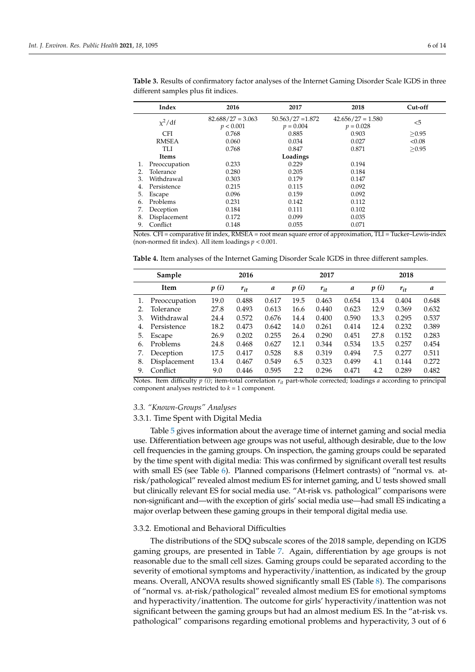|    | Index         | 2016                               | 2017                               | 2018                               | Cut-off |
|----|---------------|------------------------------------|------------------------------------|------------------------------------|---------|
|    | $x^2/df$      | $82.688 / 27 = 3.063$<br>p < 0.001 | $50.563/27 = 1.872$<br>$p = 0.004$ | $42.656/27 = 1.580$<br>$p = 0.028$ | $5$     |
|    | <b>CFI</b>    | 0.768                              | 0.885                              | 0.903                              | > 0.95  |
|    | <b>RMSEA</b>  | 0.060                              | 0.034                              | 0.027                              | < 0.08  |
|    | <b>TLI</b>    | 0.768                              | 0.847                              | 0.871                              | >0.95   |
|    | <b>Items</b>  |                                    | Loadings                           |                                    |         |
| 1. | Preoccupation | 0.233                              | 0.229                              | 0.194                              |         |
| 2. | Tolerance     | 0.280                              | 0.205                              | 0.184                              |         |
| 3. | Withdrawal    | 0.303                              | 0.179                              | 0.147                              |         |
| 4. | Persistence   | 0.215                              | 0.115                              | 0.092                              |         |
| 5. | Escape        | 0.096                              | 0.159                              | 0.092                              |         |
| 6. | Problems      | 0.231                              | 0.142                              | 0.112                              |         |
| 7. | Deception     | 0.184                              | 0.111                              | 0.102                              |         |
| 8. | Displacement  | 0.172                              | 0.099                              | 0.035                              |         |
| 9. | Conflict      | 0.148                              | 0.055                              | 0.071                              |         |

<span id="page-5-0"></span>**Table 3.** Results of confirmatory factor analyses of the Internet Gaming Disorder Scale IGDS in three different samples plus fit indices.

Notes. CFI = comparative fit index, RMSEA = root mean square error of approximation, TLI = Tucker–Lewis-index (non-normed fit index). All item loadings *p* < 0.001.

<span id="page-5-1"></span>**Table 4.** Item analyses of the Internet Gaming Disorder Scale IGDS in three different samples.

|    | Sample        | 2016 |          |       | 2017 |          |       | 2018 |          |       |
|----|---------------|------|----------|-------|------|----------|-------|------|----------|-------|
|    | Item          | p(i) | $r_{it}$ | a     | p(i) | $r_{it}$ | a     | p(i) | $r_{it}$ | a     |
|    | Preoccupation | 19.0 | 0.488    | 0.617 | 19.5 | 0.463    | 0.654 | 13.4 | 0.404    | 0.648 |
| 2. | Tolerance     | 27.8 | 0.493    | 0.613 | 16.6 | 0.440    | 0.623 | 12.9 | 0.369    | 0.632 |
| 3. | Withdrawal    | 24.4 | 0.572    | 0.676 | 14.4 | 0.400    | 0.590 | 13.3 | 0.295    | 0.537 |
| 4. | Persistence   | 18.2 | 0.473    | 0.642 | 14.0 | 0.261    | 0.414 | 12.4 | 0.232    | 0.389 |
| 5. | Escape        | 26.9 | 0.202    | 0.255 | 26.4 | 0.290    | 0.451 | 27.8 | 0.152    | 0.283 |
| 6. | Problems      | 24.8 | 0.468    | 0.627 | 12.1 | 0.344    | 0.534 | 13.5 | 0.257    | 0.454 |
| 7. | Deception     | 17.5 | 0.417    | 0.528 | 8.8  | 0.319    | 0.494 | 7.5  | 0.277    | 0.511 |
| 8. | Displacement  | 13.4 | 0.467    | 0.549 | 6.5  | 0.323    | 0.499 | 4.1  | 0.144    | 0.272 |
| 9. | Conflict      | 9.0  | 0.446    | 0.595 | 2.2  | 0.296    | 0.471 | 4.2  | 0.289    | 0.482 |

Notes. Item difficulty *p (i)*; item-total correlation *rit* part-whole corrected; loadings *a* according to principal component analyses restricted to *k* = 1 component.

### *3.3. "Known-Groups" Analyses*

#### 3.3.1. Time Spent with Digital Media

Table [5](#page-6-0) gives information about the average time of internet gaming and social media use. Differentiation between age groups was not useful, although desirable, due to the low cell frequencies in the gaming groups. On inspection, the gaming groups could be separated by the time spent with digital media: This was confirmed by significant overall test results with small ES (see Table [6\)](#page-6-1). Planned comparisons (Helmert contrasts) of "normal vs. atrisk/pathological" revealed almost medium ES for internet gaming, and U tests showed small but clinically relevant ES for social media use. "At-risk vs. pathological" comparisons were non-significant and—with the exception of girls' social media use—had small ES indicating a major overlap between these gaming groups in their temporal digital media use.

#### 3.3.2. Emotional and Behavioral Difficulties

The distributions of the SDQ subscale scores of the 2018 sample, depending on IGDS gaming groups, are presented in Table [7.](#page-6-2) Again, differentiation by age groups is not reasonable due to the small cell sizes. Gaming groups could be separated according to the severity of emotional symptoms and hyperactivity/inattention, as indicated by the group means. Overall, ANOVA results showed significantly small ES (Table [8\)](#page-7-0). The comparisons of "normal vs. at-risk/pathological" revealed almost medium ES for emotional symptoms and hyperactivity/inattention. The outcome for girls' hyperactivity/inattention was not significant between the gaming groups but had an almost medium ES. In the "at-risk vs. pathological" comparisons regarding emotional problems and hyperactivity, 3 out of 6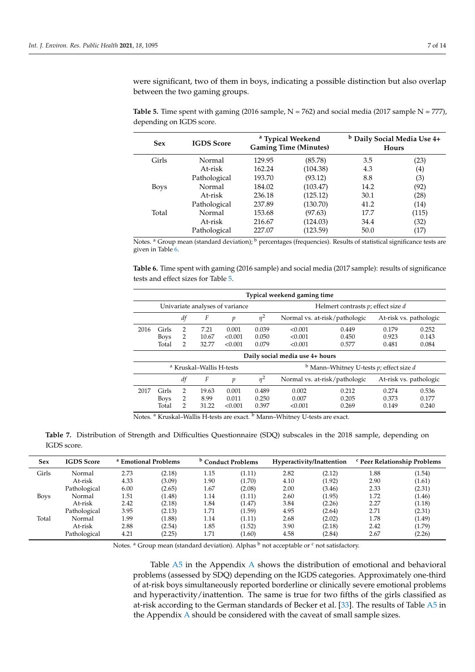were significant, two of them in boys, indicating a possible distinction but also overlap between the two gaming groups.

| <b>Sex</b>  | <b>IGDS</b> Score |        | <sup>a</sup> Typical Weekend<br><b>Gaming Time (Minutes)</b> | <sup>b</sup> Daily Social Media Use 4+<br><b>Hours</b> |                   |  |
|-------------|-------------------|--------|--------------------------------------------------------------|--------------------------------------------------------|-------------------|--|
| Girls       | Normal            | 129.95 | (85.78)                                                      | 3.5                                                    | (23)              |  |
|             | At-risk           | 162.24 | (104.38)                                                     | 4.3                                                    | $\left( 4\right)$ |  |
|             | Pathological      | 193.70 | (93.12)                                                      | 8.8                                                    | (3)               |  |
| <b>Boys</b> | Normal            | 184.02 | (103.47)                                                     | 14.2                                                   | (92)              |  |
|             | At-risk           | 236.18 | (125.12)                                                     | 30.1                                                   | (28)              |  |
|             | Pathological      | 237.89 | (130.70)                                                     | 41.2                                                   | (14)              |  |
| Total       | Normal            | 153.68 | (97.63)                                                      | 17.7                                                   | (115)             |  |
|             | At-risk           | 216.67 | (124.03)                                                     | 34.4                                                   | (32)              |  |
|             | Pathological      | 227.07 | (123.59)                                                     | 50.0                                                   | (17)              |  |

<span id="page-6-0"></span>**Table 5.** Time spent with gaming (2016 sample,  $N = 762$ ) and social media (2017 sample  $N = 777$ ), depending on IGDS score.

Notes. <sup>a</sup> Group mean (standard deviation); <sup>b</sup> percentages (frequencies). Results of statistical significance tests are given in Table [6.](#page-6-1)

<span id="page-6-1"></span>**Table 6.** Time spent with gaming (2016 sample) and social media (2017 sample): results of significance tests and effect sizes for Table [5.](#page-6-0)

|                                 | Typical weekend gaming time |               |                                     |                                 |          |         |                                                         |                        |       |  |  |  |  |
|---------------------------------|-----------------------------|---------------|-------------------------------------|---------------------------------|----------|---------|---------------------------------------------------------|------------------------|-------|--|--|--|--|
|                                 |                             |               |                                     | Univariate analyses of variance |          |         | Helmert contrasts $p$ ; effect size $d$                 |                        |       |  |  |  |  |
|                                 |                             | df            | F                                   | p                               | $\eta^2$ |         | At-risk vs. pathologic<br>Normal vs. at-risk/pathologic |                        |       |  |  |  |  |
| 2016                            | Girls                       | 2             | 7.21                                | 0.001                           | 0.039    | < 0.001 | 0.449                                                   | 0.179                  | 0.252 |  |  |  |  |
|                                 | <b>Boys</b>                 | 2             | 10.67                               | < 0.001                         | 0.050    | < 0.001 | 0.450                                                   | 0.923                  | 0.143 |  |  |  |  |
|                                 | Total                       | 2             | 32.77                               | < 0.001                         | 0.079    | < 0.001 | 0.577                                                   | 0.481                  | 0.084 |  |  |  |  |
| Daily social media use 4+ hours |                             |               |                                     |                                 |          |         |                                                         |                        |       |  |  |  |  |
|                                 |                             |               | <sup>a</sup> Kruskal–Wallis H-tests |                                 |          |         | $b$ Mann–Whitney U-tests p; effect size d               |                        |       |  |  |  |  |
|                                 |                             | df            | F                                   | p                               | $\eta^2$ |         | Normal vs. at-risk/pathologic                           | At-risk vs. pathologic |       |  |  |  |  |
| 2017                            | Girls                       | $\mathcal{P}$ | 19.63                               | 0.001                           | 0.489    | 0.002   | 0.212                                                   | 0.274                  | 0.536 |  |  |  |  |
|                                 | <b>Boys</b>                 | 2             | 8.99                                | 0.011                           | 0.250    | 0.007   | 0.205                                                   | 0.373                  | 0.177 |  |  |  |  |
|                                 | Total                       | 2             | 31.22                               | < 0.001                         | 0.397    | < 0.001 | 0.269                                                   | 0.149                  | 0.240 |  |  |  |  |

Notes. <sup>a</sup> Kruskal–Wallis H-tests are exact. <sup>b</sup> Mann–Whitney U-tests are exact.

<span id="page-6-2"></span>**Table 7.** Distribution of Strength and Difficulties Questionnaire (SDQ) subscales in the 2018 sample, depending on IGDS score.

| <b>Sex</b>  | <b>IGDS</b> Score |      | <sup>a</sup> Emotional Problems |      | <sup>b</sup> Conduct Problems |      | Hyperactivity/Inattention |      | <sup>c</sup> Peer Relationship Problems |
|-------------|-------------------|------|---------------------------------|------|-------------------------------|------|---------------------------|------|-----------------------------------------|
| Girls       | Normal            | 2.73 | (2.18)                          | 1.15 | (1.11)                        | 2.82 | (2.12)                    | 1.88 | (1.54)                                  |
|             | At-risk           | 4.33 | (3.09)                          | 1.90 | (1.70)                        | 4.10 | (1.92)                    | 2.90 | (1.61)                                  |
|             | Pathological      | 6.00 | (2.65)                          | 1.67 | (2.08)                        | 2.00 | (3.46)                    | 2.33 | (2.31)                                  |
| <b>Boys</b> | Normal            | 1.51 | (1.48)                          | 1.14 | (1.11)                        | 2.60 | (1.95)                    | 1.72 | (1.46)                                  |
|             | At-risk           | 2.42 | (2.18)                          | 1.84 | (1.47)                        | 3.84 | (2.26)                    | 2.27 | (1.18)                                  |
|             | Pathological      | 3.95 | (2.13)                          | 1.71 | (1.59)                        | 4.95 | (2.64)                    | 2.71 | (2.31)                                  |
| Total       | Normal            | 1.99 | (1.88)                          | 1.14 | (1.11)                        | 2.68 | (2.02)                    | 1.78 | (1.49)                                  |
|             | At-risk           | 2.88 | (2.54)                          | 1.85 | (1.52)                        | 3.90 | (2.18)                    | 2.42 | (1.79)                                  |
|             | Pathological      | 4.21 | (2.25)                          | 1.71 | (1.60)                        | 4.58 | (2.84)                    | 2.67 | (2.26)                                  |

Notes. <sup>a</sup> Group mean (standard deviation). Alphas <sup>b</sup> not acceptable or <sup>c</sup> not satisfactory.

Table [A5](#page-11-17) in the Appendix [A](#page-10-1) shows the distribution of emotional and behavioral problems (assessed by SDQ) depending on the IGDS categories. Approximately one-third of at-risk boys simultaneously reported borderline or clinically severe emotional problems and hyperactivity/inattention. The same is true for two fifths of the girls classified as at-risk according to the German standards of Becker et al. [\[33\]](#page-12-15). The results of Table [A5](#page-11-17) in the Appendix [A](#page-10-1) should be considered with the caveat of small sample sizes.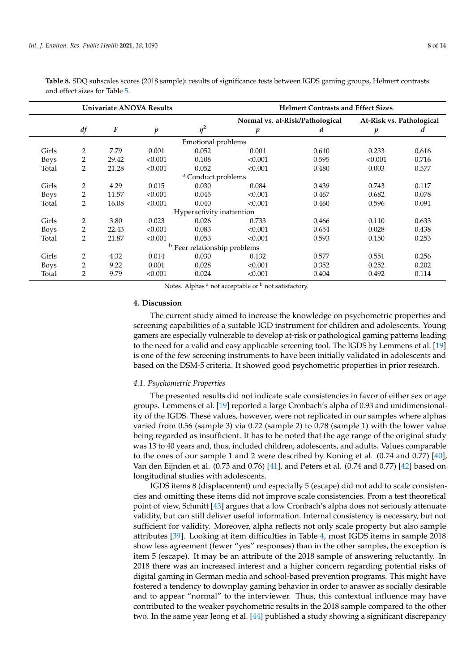<span id="page-7-0"></span>**Table 8.** SDQ subscales scores (2018 sample): results of significance tests between IGDS gaming groups, Helmert contrasts and effect sizes for Table [5.](#page-6-0) **Univariate ANOVA Results Helmert Contrasts and Effect Sizes**

|             |                |                  |                  |                                         | Normal vs. at-Risk/Pathological |       | At-Risk vs. Pathological |       |
|-------------|----------------|------------------|------------------|-----------------------------------------|---------------------------------|-------|--------------------------|-------|
|             | df             | $\boldsymbol{F}$ | $\boldsymbol{p}$ | $\eta^2$                                | p                               | d     | $\boldsymbol{p}$         | d     |
|             |                |                  |                  | Emotional problems                      |                                 |       |                          |       |
| Girls       | 2              | 7.79             | 0.001            | 0.052                                   | 0.001                           | 0.610 | 0.233                    | 0.616 |
| <b>Boys</b> | 2              | 29.42            | < 0.001          | 0.106                                   | < 0.001                         | 0.595 | < 0.001                  | 0.716 |
| Total       | $\overline{2}$ | 21.28            | < 0.001          | 0.052                                   | < 0.001                         | 0.480 | 0.003                    | 0.577 |
|             |                |                  |                  | <sup>a</sup> Conduct problems           |                                 |       |                          |       |
| Girls       | 2              | 4.29             | 0.015            | 0.030                                   | 0.084                           | 0.439 | 0.743                    | 0.117 |
| <b>Boys</b> | 2              | 11.57            | < 0.001          | 0.045                                   | < 0.001                         | 0.467 | 0.682                    | 0.078 |
| Total       | $\overline{2}$ | 16.08            | < 0.001          | 0.040                                   | < 0.001                         | 0.460 | 0.596                    | 0.091 |
|             |                |                  |                  | Hyperactivity inattention               |                                 |       |                          |       |
| Girls       | 2              | 3.80             | 0.023            | 0.026                                   | 0.733                           | 0.466 | 0.110                    | 0.633 |
| <b>Boys</b> | 2              | 22.43            | < 0.001          | 0.083                                   | < 0.001                         | 0.654 | 0.028                    | 0.438 |
| Total       | $\overline{2}$ | 21.87            | < 0.001          | 0.053                                   | < 0.001                         | 0.593 | 0.150                    | 0.253 |
|             |                |                  |                  | <sup>b</sup> Peer relationship problems |                                 |       |                          |       |
| Girls       | 2              | 4.32             | 0.014            | 0.030                                   | 0.132                           | 0.577 | 0.551                    | 0.256 |
| <b>Boys</b> | 2              | 9.22             | 0.001            | 0.028                                   | < 0.001                         | 0.352 | 0.252                    | 0.202 |
| Total       | 2              | 9.79             | < 0.001          | 0.024                                   | < 0.001                         | 0.404 | 0.492                    | 0.114 |

Notes. Alphas  $a$  not acceptable or  $b$  not satisfactory.

#### **4. Discussion**

The current study aimed to increase the knowledge on psychometric properties and screening capabilities of a suitable IGD instrument for children and adolescents. Young gamers are especially vulnerable to develop at-risk or pathological gaming patterns leading to the need for a valid and easy applicable screening tool. The IGDS by Lemmens et al. [\[19\]](#page-12-2) is one of the few screening instruments to have been initially validated in adolescents and based on the DSM-5 criteria. It showed good psychometric properties in prior research.

### *4.1. Psychometric Properties*

The presented results did not indicate scale consistencies in favor of either sex or age groups. Lemmens et al. [\[19\]](#page-12-2) reported a large Cronbach's alpha of 0.93 and unidimensionality of the IGDS. These values, however, were not replicated in our samples where alphas varied from 0.56 (sample 3) via 0.72 (sample 2) to 0.78 (sample 1) with the lower value being regarded as insufficient. It has to be noted that the age range of the original study was 13 to 40 years and, thus, included children, adolescents, and adults. Values comparable to the ones of our sample 1 and 2 were described by Koning et al. (0.74 and 0.77) [\[40\]](#page-12-20), Van den Eijnden et al. (0.73 and 0.76) [\[41\]](#page-12-21), and Peters et al. (0.74 and 0.77) [\[42\]](#page-12-22) based on longitudinal studies with adolescents.

IGDS items 8 (displacement) und especially 5 (escape) did not add to scale consistencies and omitting these items did not improve scale consistencies. From a test theoretical point of view, Schmitt [\[43\]](#page-12-23) argues that a low Cronbach's alpha does not seriously attenuate validity, but can still deliver useful information. Internal consistency is necessary, but not sufficient for validity. Moreover, alpha reflects not only scale property but also sample attributes [\[39\]](#page-12-19). Looking at item difficulties in Table [4,](#page-5-1) most IGDS items in sample 2018 show less agreement (fewer "yes" responses) than in the other samples, the exception is item 5 (escape). It may be an attribute of the 2018 sample of answering reluctantly. In 2018 there was an increased interest and a higher concern regarding potential risks of digital gaming in German media and school-based prevention programs. This might have fostered a tendency to downplay gaming behavior in order to answer as socially desirable and to appear "normal" to the interviewer. Thus, this contextual influence may have contributed to the weaker psychometric results in the 2018 sample compared to the other two. In the same year Jeong et al. [\[44\]](#page-12-24) published a study showing a significant discrepancy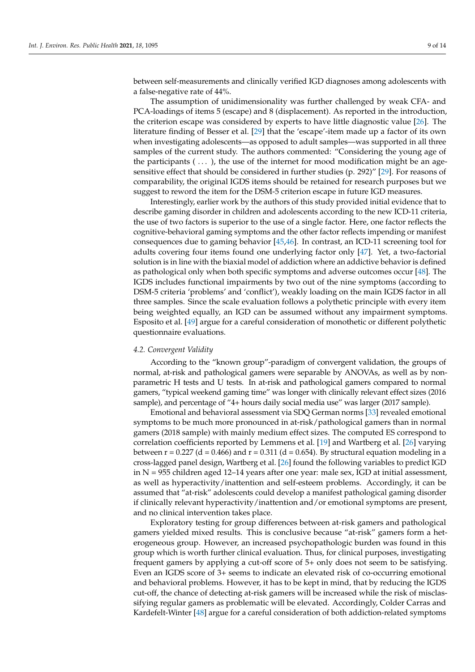between self-measurements and clinically verified IGD diagnoses among adolescents with a false-negative rate of 44%.

The assumption of unidimensionality was further challenged by weak CFA- and PCA-loadings of items 5 (escape) and 8 (displacement). As reported in the introduction, the criterion escape was considered by experts to have little diagnostic value [\[26\]](#page-12-9). The literature finding of Besser et al. [\[29\]](#page-12-12) that the 'escape'-item made up a factor of its own when investigating adolescents—as opposed to adult samples—was supported in all three samples of the current study. The authors commented: "Considering the young age of the participants  $(\ldots)$ , the use of the internet for mood modification might be an agesensitive effect that should be considered in further studies (p. 292)" [\[29\]](#page-12-12). For reasons of comparability, the original IGDS items should be retained for research purposes but we suggest to reword the item for the DSM-5 criterion escape in future IGD measures.

Interestingly, earlier work by the authors of this study provided initial evidence that to describe gaming disorder in children and adolescents according to the new ICD-11 criteria, the use of two factors is superior to the use of a single factor. Here, one factor reflects the cognitive-behavioral gaming symptoms and the other factor reflects impending or manifest consequences due to gaming behavior [\[45,](#page-12-25)[46\]](#page-12-26). In contrast, an ICD-11 screening tool for adults covering four items found one underlying factor only [\[47\]](#page-13-0). Yet, a two-factorial solution is in line with the biaxial model of addiction where an addictive behavior is defined as pathological only when both specific symptoms and adverse outcomes occur [\[48\]](#page-13-1). The IGDS includes functional impairments by two out of the nine symptoms (according to DSM-5 criteria 'problems' and 'conflict'), weakly loading on the main IGDS factor in all three samples. Since the scale evaluation follows a polythetic principle with every item being weighted equally, an IGD can be assumed without any impairment symptoms. Esposito et al. [\[49\]](#page-13-2) argue for a careful consideration of monothetic or different polythetic questionnaire evaluations.

#### *4.2. Convergent Validity*

According to the "known group"-paradigm of convergent validation, the groups of normal, at-risk and pathological gamers were separable by ANOVAs, as well as by nonparametric H tests and U tests. In at-risk and pathological gamers compared to normal gamers, "typical weekend gaming time" was longer with clinically relevant effect sizes (2016 sample), and percentage of "4+ hours daily social media use" was larger (2017 sample).

Emotional and behavioral assessment via SDQ German norms [\[33\]](#page-12-15) revealed emotional symptoms to be much more pronounced in at-risk/pathological gamers than in normal gamers (2018 sample) with mainly medium effect sizes. The computed ES correspond to correlation coefficients reported by Lemmens et al. [\[19\]](#page-12-2) and Wartberg et al. [\[26\]](#page-12-9) varying between  $r = 0.227$  (d = 0.466) and  $r = 0.311$  (d = 0.654). By structural equation modeling in a cross-lagged panel design, Wartberg et al. [\[26\]](#page-12-9) found the following variables to predict IGD in  $N = 955$  children aged 12–14 years after one year: male sex, IGD at initial assessment, as well as hyperactivity/inattention and self-esteem problems. Accordingly, it can be assumed that "at-risk" adolescents could develop a manifest pathological gaming disorder if clinically relevant hyperactivity/inattention and/or emotional symptoms are present, and no clinical intervention takes place.

Exploratory testing for group differences between at-risk gamers and pathological gamers yielded mixed results. This is conclusive because "at-risk" gamers form a heterogeneous group. However, an increased psychopathologic burden was found in this group which is worth further clinical evaluation. Thus, for clinical purposes, investigating frequent gamers by applying a cut-off score of 5+ only does not seem to be satisfying. Even an IGDS score of 3+ seems to indicate an elevated risk of co-occurring emotional and behavioral problems. However, it has to be kept in mind, that by reducing the IGDS cut-off, the chance of detecting at-risk gamers will be increased while the risk of misclassifying regular gamers as problematic will be elevated. Accordingly, Colder Carras and Kardefelt-Winter [\[48\]](#page-13-1) argue for a careful consideration of both addiction-related symptoms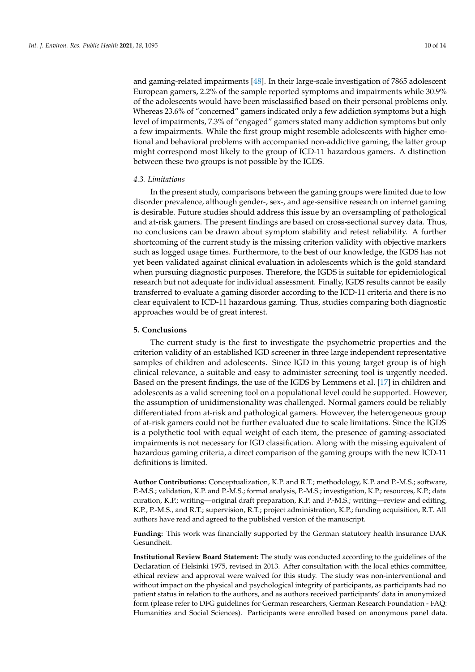and gaming-related impairments [\[48\]](#page-13-1). In their large-scale investigation of 7865 adolescent European gamers, 2.2% of the sample reported symptoms and impairments while 30.9% of the adolescents would have been misclassified based on their personal problems only. Whereas 23.6% of "concerned" gamers indicated only a few addiction symptoms but a high level of impairments, 7.3% of "engaged" gamers stated many addiction symptoms but only a few impairments. While the first group might resemble adolescents with higher emotional and behavioral problems with accompanied non-addictive gaming, the latter group might correspond most likely to the group of ICD-11 hazardous gamers. A distinction between these two groups is not possible by the IGDS.

### *4.3. Limitations*

In the present study, comparisons between the gaming groups were limited due to low disorder prevalence, although gender-, sex-, and age-sensitive research on internet gaming is desirable. Future studies should address this issue by an oversampling of pathological and at-risk gamers. The present findings are based on cross-sectional survey data. Thus, no conclusions can be drawn about symptom stability and retest reliability. A further shortcoming of the current study is the missing criterion validity with objective markers such as logged usage times. Furthermore, to the best of our knowledge, the IGDS has not yet been validated against clinical evaluation in adolescents which is the gold standard when pursuing diagnostic purposes. Therefore, the IGDS is suitable for epidemiological research but not adequate for individual assessment. Finally, IGDS results cannot be easily transferred to evaluate a gaming disorder according to the ICD-11 criteria and there is no clear equivalent to ICD-11 hazardous gaming. Thus, studies comparing both diagnostic approaches would be of great interest.

# **5. Conclusions**

The current study is the first to investigate the psychometric properties and the criterion validity of an established IGD screener in three large independent representative samples of children and adolescents. Since IGD in this young target group is of high clinical relevance, a suitable and easy to administer screening tool is urgently needed. Based on the present findings, the use of the IGDS by Lemmens et al. [\[17\]](#page-12-0) in children and adolescents as a valid screening tool on a populational level could be supported. However, the assumption of unidimensionality was challenged. Normal gamers could be reliably differentiated from at-risk and pathological gamers. However, the heterogeneous group of at-risk gamers could not be further evaluated due to scale limitations. Since the IGDS is a polythetic tool with equal weight of each item, the presence of gaming-associated impairments is not necessary for IGD classification. Along with the missing equivalent of hazardous gaming criteria, a direct comparison of the gaming groups with the new ICD-11 definitions is limited.

**Author Contributions:** Conceptualization, K.P. and R.T.; methodology, K.P. and P.-M.S.; software, P.-M.S.; validation, K.P. and P.-M.S.; formal analysis, P.-M.S.; investigation, K.P.; resources, K.P.; data curation, K.P.; writing—original draft preparation, K.P. and P.-M.S.; writing—review and editing, K.P., P.-M.S., and R.T.; supervision, R.T.; project administration, K.P.; funding acquisition, R.T. All authors have read and agreed to the published version of the manuscript.

**Funding:** This work was financially supported by the German statutory health insurance DAK Gesundheit.

**Institutional Review Board Statement:** The study was conducted according to the guidelines of the Declaration of Helsinki 1975, revised in 2013. After consultation with the local ethics committee, ethical review and approval were waived for this study. The study was non-interventional and without impact on the physical and psychological integrity of participants, as participants had no patient status in relation to the authors, and as authors received participants' data in anonymized form (please refer to DFG guidelines for German researchers, German Research Foundation - FAQ: Humanities and Social Sciences). Participants were enrolled based on anonymous panel data.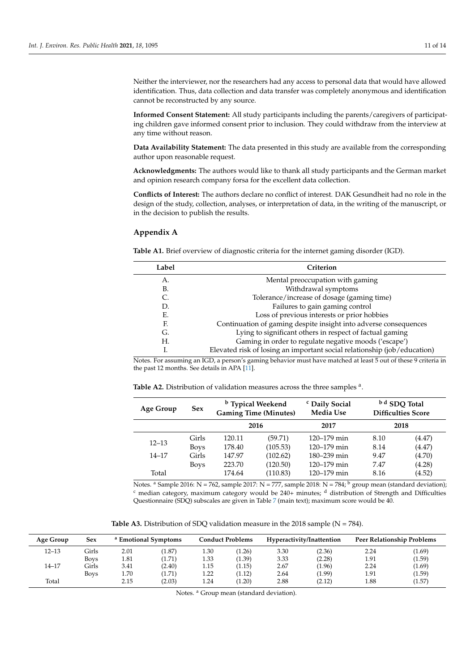Neither the interviewer, nor the researchers had any access to personal data that would have allowed identification. Thus, data collection and data transfer was completely anonymous and identification cannot be reconstructed by any source.

**Informed Consent Statement:** All study participants including the parents/caregivers of participating children gave informed consent prior to inclusion. They could withdraw from the interview at any time without reason.

**Data Availability Statement:** The data presented in this study are available from the corresponding author upon reasonable request.

**Acknowledgments:** The authors would like to thank all study participants and the German market and opinion research company forsa for the excellent data collection.

**Conflicts of Interest:** The authors declare no conflict of interest. DAK Gesundheit had no role in the design of the study, collection, analyses, or interpretation of data, in the writing of the manuscript, or in the decision to publish the results.

## <span id="page-10-1"></span>**Appendix A**

<span id="page-10-0"></span>**Table A1.** Brief overview of diagnostic criteria for the internet gaming disorder (IGD).

| Label | Criterion                                                                |
|-------|--------------------------------------------------------------------------|
| А.    | Mental preoccupation with gaming                                         |
| В.    | Withdrawal symptoms                                                      |
|       | Tolerance/increase of dosage (gaming time)                               |
| D.    | Failures to gain gaming control                                          |
| E.    | Loss of previous interests or prior hobbies                              |
| F.    | Continuation of gaming despite insight into adverse consequences         |
| G.    | Lying to significant others in respect of factual gaming                 |
| Н.    | Gaming in order to regulate negative moods ('escape')                    |
|       | Elevated risk of losing an important social relationship (job/education) |

Notes. For assuming an IGD, a person's gaming behavior must have matched at least 5 out of these 9 criteria in the past 12 months. See details in APA [\[11\]](#page-11-10).

<span id="page-10-2"></span>

| <b>Table A2.</b> Distribution of validation measures across the three samples <sup>a</sup> . |  |
|----------------------------------------------------------------------------------------------|--|
|----------------------------------------------------------------------------------------------|--|

| Age Group | <b>Sex</b>  | <sup>b</sup> Typical Weekend<br><b>Gaming Time (Minutes)</b> |          | <sup>c</sup> Daily Social<br><b>Media Use</b> |      | b d SDQ Total<br><b>Difficulties Score</b> |
|-----------|-------------|--------------------------------------------------------------|----------|-----------------------------------------------|------|--------------------------------------------|
|           |             | 2016                                                         |          | 2017                                          | 2018 |                                            |
|           | Girls       | 120.11                                                       | (59.71)  | $120 - 179$ min                               | 8.10 | (4.47)                                     |
| $12 - 13$ | <b>Boys</b> | 178.40                                                       | (105.53) | $120 - 179$ min                               | 8.14 | (4.47)                                     |
| $14 - 17$ | Girls       | 147.97                                                       | (102.62) | 180–239 min                                   | 9.47 | (4.70)                                     |
|           | <b>Boys</b> | 223.70                                                       | (120.50) | $120 - 179$ min                               | 7.47 | (4.28)                                     |
| Total     |             | 174.64                                                       | (110.83) | $120 - 179$ min                               | 8.16 | (4.52)                                     |

Notes. <sup>a</sup> Sample 2016: N = 762, sample 2017: N = 777, sample 2018: N = 784; <sup>b</sup> group mean (standard deviation);  $c$  median category, maximum category would be 240+ minutes;  $d$  distribution of Strength and Difficulties Questionnaire (SDQ) subscales are given in Table [7](#page-6-2) (main text); maximum score would be 40.

**Table A3.** Distribution of SDQ validation measure in the 2018 sample ( $N = 784$ ).

<span id="page-10-3"></span>

| Age Group | Sex         |      | <sup>a</sup> Emotional Symptoms |      | <b>Conduct Problems</b> |      | Hyperactivity/Inattention |      | Peer Relationship Problems |
|-----------|-------------|------|---------------------------------|------|-------------------------|------|---------------------------|------|----------------------------|
| $12 - 13$ | Girls       | 2.01 | (1.87)                          | 1.30 | (1.26)                  | 3.30 | (2.36)                    | 2.24 | (1.69)                     |
|           | <b>Boys</b> | 1.81 | (1.71)                          | 1.33 | (1.39)                  | 3.33 | (2.28)                    | 1.91 | (1.59)                     |
| 14–17     | Girls       | 3.41 | (2.40)                          | 1.15 | (1.15)                  | 2.67 | (1.96)                    | 2.24 | (1.69)                     |
|           | <b>Boys</b> | 1.70 | (1.71)                          | 1.22 | (1.12)                  | 2.64 | (1.99)                    | 1.91 | (1.59)                     |
| Total     |             | 2.15 | (2.03)                          | 1.24 | (1.20)                  | 2.88 | (2.12)                    | 1.88 | (1.57)                     |

Notes. <sup>a</sup> Group mean (standard deviation).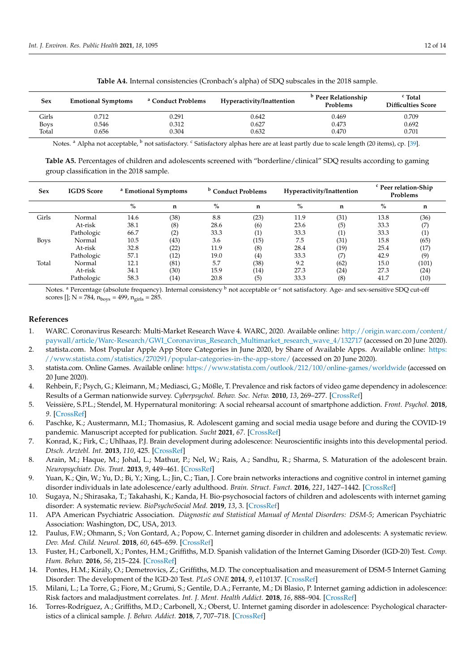<span id="page-11-16"></span>

| Sex         | <b>Emotional Symptoms</b> | <sup>a</sup> Conduct Problems | Hyperactivity/Inattention | <sup>b</sup> Peer Relationship<br>Problems | <sup>c</sup> Total<br><b>Difficulties Score</b> |
|-------------|---------------------------|-------------------------------|---------------------------|--------------------------------------------|-------------------------------------------------|
| Girls       | 0.712                     | 0.291                         | 0.642                     | 0.469                                      | 0.709                                           |
| <b>Boys</b> | 0.546                     | 0.312                         | 0.627                     | 0.473                                      | 0.692                                           |
| Total       | 0.656                     | 0.304                         | 0.632                     | 0.470                                      | 0.701                                           |

**Table A4.** Internal consistencies (Cronbach's alpha) of SDQ subscales in the 2018 sample.

Notes. <sup>a</sup> Alpha not acceptable, <sup>b</sup> not satisfactory. <sup>c</sup> Satisfactory alphas here are at least partly due to scale length (20 items), cp. [\[39\]](#page-12-19).

<span id="page-11-17"></span>**Table A5.** Percentages of children and adolescents screened with "borderline/clinical" SDQ results according to gaming group classification in the 2018 sample.

| <b>Sex</b>  | <b>IGDS</b> Score | <sup>a</sup> Emotional Symptoms |      | <sup>b</sup> Conduct Problems |      | Hyperactivity/Inattention |      | <sup>c</sup> Peer relation-Ship<br>Problems |       |
|-------------|-------------------|---------------------------------|------|-------------------------------|------|---------------------------|------|---------------------------------------------|-------|
|             |                   | $\%$                            | n    | $\%$                          | n    | $\%$                      | n    | $\%$                                        | n     |
| Girls       | Normal            | 14.6                            | (38) | 8.8                           | (23) | 11.9                      | (31) | 13.8                                        | (36)  |
|             | At-risk           | 38.1                            | (8)  | 28.6                          | (6)  | 23.6                      | (5)  | 33.3                                        |       |
|             | Pathologic        | 66.7                            | (2)  | 33.3                          | ′1)  | 33.3                      | (1)  | 33.3                                        |       |
| <b>Boys</b> | Normal            | 10.5                            | (43) | 3.6                           | (15) | 7.5                       | (31) | 15.8                                        | (65)  |
|             | At-risk           | 32.8                            | (22) | 11.9                          | (8)  | 28.4                      | (19) | 25.4                                        | (17)  |
|             | Pathologic        | 57.1                            | (12) | 19.0                          | (4)  | 33.3                      | (7)  | 42.9                                        | (9)   |
| Total       | Normal            | 12.1                            | (81) | 5.7                           | (38) | 9.2                       | (62) | 15.0                                        | (101) |
|             | At-risk           | 34.1                            | (30) | 15.9                          | (14) | 27.3                      | (24) | 27.3                                        | (24)  |
|             | Pathologic        | 58.3                            | (14) | 20.8                          | (5)  | 33.3                      | (8)  | 41.7                                        | (10)  |

Notes. <sup>a</sup> Percentage (absolute frequency). Internal consistency <sup>b</sup> not acceptable or <sup>c</sup> not satisfactory. Age- and sex-sensitive SDQ cut-off scores [];  $N = 784$ ,  $n_{\text{boys}} = 499$ ,  $n_{\text{girls}} = 285$ .

# **References**

- <span id="page-11-0"></span>1. WARC. Coronavirus Research: Multi-Market Research Wave 4. WARC, 2020. Available online: [http://origin.warc.com/content/](http://origin.warc.com/content/paywall/article/Warc-Research/GWI_Coronavirus_Research_Multimarket_research_wave_4/132717) [paywall/article/Warc-Research/GWI\\_Coronavirus\\_Research\\_Multimarket\\_research\\_wave\\_4/132717](http://origin.warc.com/content/paywall/article/Warc-Research/GWI_Coronavirus_Research_Multimarket_research_wave_4/132717) (accessed on 20 June 2020).
- <span id="page-11-1"></span>2. statista.com. Most Popular Apple App Store Categories in June 2020, by Share of Available Apps. Available online: [https:](https://www.statista.com/statistics/270291/popular-categories-in-the-app-store/) [//www.statista.com/statistics/270291/popular-categories-in-the-app-store/](https://www.statista.com/statistics/270291/popular-categories-in-the-app-store/) (accessed on 20 June 2020).
- <span id="page-11-2"></span>3. statista.com. Online Games. Available online: <https://www.statista.com/outlook/212/100/online-games/worldwide> (accessed on 20 June 2020).
- <span id="page-11-3"></span>4. Rehbein, F.; Psych, G.; Kleimann, M.; Mediasci, G.; Mößle, T. Prevalence and risk factors of video game dependency in adolescence: Results of a German nationwide survey. *Cyberpsychol. Behav. Soc. Netw.* **2010**, *13*, 269–277. [\[CrossRef\]](http://doi.org/10.1089/cyber.2009.0227)
- <span id="page-11-4"></span>5. Veissière, S.P.L.; Stendel, M. Hypernatural monitoring: A social rehearsal account of smartphone addiction. *Front. Psychol.* **2018**, *9*. [\[CrossRef\]](http://doi.org/10.3389/fpsyg.2018.00141)
- <span id="page-11-5"></span>6. Paschke, K.; Austermann, M.I.; Thomasius, R. Adolescent gaming and social media usage before and during the COVID-19 pandemic. Manuscript accepted for publication. *Sucht* **2021**, *67*. [\[CrossRef\]](http://doi.org/10.1024/0939-5911/a000694)
- <span id="page-11-6"></span>7. Konrad, K.; Firk, C.; Uhlhaas, P.J. Brain development during adolescence: Neuroscientific insights into this developmental period. *Dtsch. Arztebl. Int.* **2013**, *110*, 425. [\[CrossRef\]](http://doi.org/10.3238/arztebl.2013.0425)
- <span id="page-11-7"></span>8. Arain, M.; Haque, M.; Johal, L.; Mathur, P.; Nel, W.; Rais, A.; Sandhu, R.; Sharma, S. Maturation of the adolescent brain. *Neuropsychiatr. Dis. Treat.* **2013**, *9*, 449–461. [\[CrossRef\]](http://doi.org/10.2147/NDT.S39776)
- <span id="page-11-8"></span>9. Yuan, K.; Qin, W.; Yu, D.; Bi, Y.; Xing, L.; Jin, C.; Tian, J. Core brain networks interactions and cognitive control in internet gaming disorder individuals in late adolescence/early adulthood. *Brain. Struct. Funct.* **2016**, *221*, 1427–1442. [\[CrossRef\]](http://doi.org/10.1007/s00429-014-0982-7)
- <span id="page-11-9"></span>10. Sugaya, N.; Shirasaka, T.; Takahashi, K.; Kanda, H. Bio-psychosocial factors of children and adolescents with internet gaming disorder: A systematic review. *BioPsychoSocial Med.* **2019**, *13*, 3. [\[CrossRef\]](http://doi.org/10.1186/s13030-019-0144-5)
- <span id="page-11-10"></span>11. APA American Psychiatric Association. *Diagnostic and Statistical Manual of Mental Disorders: DSM-5*; American Psychiatric Association: Washington, DC, USA, 2013.
- <span id="page-11-11"></span>12. Paulus, F.W.; Ohmann, S.; Von Gontard, A.; Popow, C. Internet gaming disorder in children and adolescents: A systematic review. *Dev. Med. Child. Neurol.* **2018**, *60*, 645–659. [\[CrossRef\]](http://doi.org/10.1111/dmcn.13754)
- <span id="page-11-12"></span>13. Fuster, H.; Carbonell, X.; Pontes, H.M.; Griffiths, M.D. Spanish validation of the Internet Gaming Disorder (IGD-20) Test. *Comp. Hum. Behav.* **2016**, *56*, 215–224. [\[CrossRef\]](http://doi.org/10.1016/j.chb.2015.11.050)
- <span id="page-11-13"></span>14. Pontes, H.M.; Király, O.; Demetrovics, Z.; Griffiths, M.D. The conceptualisation and measurement of DSM-5 Internet Gaming Disorder: The development of the IGD-20 Test. *PLoS ONE* **2014**, *9*, e110137. [\[CrossRef\]](http://doi.org/10.1371/journal.pone.0110137)
- <span id="page-11-14"></span>15. Milani, L.; La Torre, G.; Fiore, M.; Grumi, S.; Gentile, D.A.; Ferrante, M.; Di Blasio, P. Internet gaming addiction in adolescence: Risk factors and maladjustment correlates. *Int. J. Ment. Health Addict.* **2018**, *16*, 888–904. [\[CrossRef\]](http://doi.org/10.1007/s11469-017-9750-2)
- <span id="page-11-15"></span>16. Torres-Rodríguez, A.; Griffiths, M.D.; Carbonell, X.; Oberst, U. Internet gaming disorder in adolescence: Psychological characteristics of a clinical sample. *J. Behav. Addict.* **2018**, *7*, 707–718. [\[CrossRef\]](http://doi.org/10.1556/2006.7.2018.75)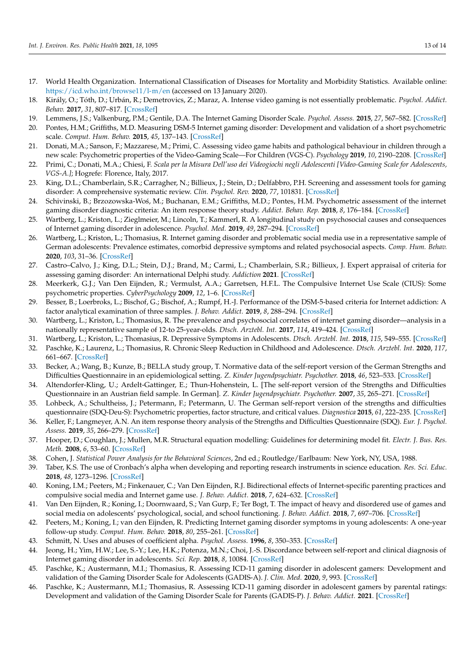- <span id="page-12-0"></span>17. World Health Organization. International Classification of Diseases for Mortality and Morbidity Statistics. Available online: <https://icd.who.int/browse11/l-m/en> (accessed on 13 January 2020).
- <span id="page-12-1"></span>18. Király, O.; Tóth, D.; Urbán, R.; Demetrovics, Z.; Maraz, A. Intense video gaming is not essentially problematic. *Psychol. Addict. Behav.* **2017**, *31*, 807–817. [\[CrossRef\]](http://doi.org/10.1037/adb0000316)
- <span id="page-12-2"></span>19. Lemmens, J.S.; Valkenburg, P.M.; Gentile, D.A. The Internet Gaming Disorder Scale. *Psychol. Assess.* **2015**, *27*, 567–582. [\[CrossRef\]](http://doi.org/10.1037/pas0000062)
- <span id="page-12-3"></span>20. Pontes, H.M.; Griffiths, M.D. Measuring DSM-5 Internet gaming disorder: Development and validation of a short psychometric scale. *Comput. Hum. Behav.* **2015**, *45*, 137–143. [\[CrossRef\]](http://doi.org/10.1016/j.chb.2014.12.006)
- <span id="page-12-4"></span>21. Donati, M.A.; Sanson, F.; Mazzarese, M.; Primi, C. Assessing video game habits and pathological behaviour in children through a new scale: Psychometric properties of the Video-Gaming Scale—For Children (VGS-C). *Psychology* **2019**, *10*, 2190–2208. [\[CrossRef\]](http://doi.org/10.4236/psych.2019.1016139)
- <span id="page-12-5"></span>22. Primi, C.; Donati, M.A.; Chiesi, F. *Scala per la Misura Dell'uso dei Videogiochi negli Adolescenti [Video-Gaming Scale for Adolescents, VGS-A.]*; Hogrefe: Florence, Italy, 2017.
- <span id="page-12-6"></span>23. King, D.L.; Chamberlain, S.R.; Carragher, N.; Billieux, J.; Stein, D.; Delfabbro, P.H. Screening and assessment tools for gaming disorder: A comprehensive systematic review. *Clin. Psychol. Rev.* **2020**, *77*, 101831. [\[CrossRef\]](http://doi.org/10.1016/j.cpr.2020.101831)
- <span id="page-12-7"></span>24. Schivinski, B.; Brzozowska-Wo´s, M.; Buchanan, E.M.; Griffiths, M.D.; Pontes, H.M. Psychometric assessment of the internet gaming disorder diagnostic criteria: An item response theory study. *Addict. Behav. Rep.* **2018**, *8*, 176–184. [\[CrossRef\]](http://doi.org/10.1016/j.abrep.2018.06.004)
- <span id="page-12-8"></span>25. Wartberg, L.; Kriston, L.; Zieglmeier, M.; Lincoln, T.; Kammerl, R. A longitudinal study on psychosocial causes and consequences of Internet gaming disorder in adolescence. *Psychol. Med.* **2019**, *49*, 287–294. [\[CrossRef\]](http://doi.org/10.1017/S003329171800082X)
- <span id="page-12-9"></span>26. Wartberg, L.; Kriston, L.; Thomasius, R. Internet gaming disorder and problematic social media use in a representative sample of German adolescents: Prevalence estimates, comorbid depressive symptoms and related psychosocial aspects. *Comp. Hum. Behav.* **2020**, *103*, 31–36. [\[CrossRef\]](http://doi.org/10.1016/j.chb.2019.09.014)
- <span id="page-12-10"></span>27. Castro–Calvo, J.; King, D.L.; Stein, D.J.; Brand, M.; Carmi, L.; Chamberlain, S.R.; Billieux, J. Expert appraisal of criteria for assessing gaming disorder: An international Delphi study. *Addiction* **2021**. [\[CrossRef\]](http://doi.org/10.1111/add.15411)
- <span id="page-12-11"></span>28. Meerkerk, G.J.; Van Den Eijnden, R.; Vermulst, A.A.; Garretsen, H.F.L. The Compulsive Internet Use Scale (CIUS): Some psychometric properties. *CyberPsychology* **2009**, *12*, 1–6. [\[CrossRef\]](http://doi.org/10.1089/cpb.2008.0181)
- <span id="page-12-12"></span>29. Besser, B.; Loerbroks, L.; Bischof, G.; Bischof, A.; Rumpf, H.-J. Performance of the DSM-5-based criteria for Internet addiction: A factor analytical examination of three samples. *J. Behav. Addict.* **2019**, *8*, 288–294. [\[CrossRef\]](http://doi.org/10.1556/2006.8.2019.19)
- <span id="page-12-13"></span>30. Wartberg, L.; Kriston, L.; Thomasius, R. The prevalence and psychosocial correlates of internet gaming disorder—analysis in a nationally representative sample of 12-to 25-year-olds. *Dtsch. Arztebl. Int.* **2017**, *114*, 419–424. [\[CrossRef\]](http://doi.org/10.3238/arztebl.2017.0419)
- 31. Wartberg, L.; Kriston, L.; Thomasius, R. Depressive Symptoms in Adolescents. *Dtsch. Arztebl. Int.* **2018**, *115*, 549–555. [\[CrossRef\]](http://doi.org/10.3238/arztebl.2018.0549)
- <span id="page-12-14"></span>32. Paschke, K.; Laurenz, L.; Thomasius, R. Chronic Sleep Reduction in Childhood and Adolescence. *Dtsch. Arztebl. Int.* **2020**, *117*, 661–667. [\[CrossRef\]](http://doi.org/10.3238/arztebl.2020.0661)
- <span id="page-12-15"></span>33. Becker, A.; Wang, B.; Kunze, B.; BELLA study group, T. Normative data of the self-report version of the German Strengths and Difficulties Questionnaire in an epidemiological setting. *Z. Kinder Jugendpsychiatr. Psychother.* **2018**, *46*, 523–533. [\[CrossRef\]](http://doi.org/10.1024/1422-4917/a000589)
- 34. Altendorfer-Kling, U.; Ardelt-Gattinger, E.; Thun-Hohenstein, L. [The self-report version of the Strengths and Difficulties Questionnaire in an Austrian field sample. In German]. *Z. Kinder Jugendpsychiatr. Psychother.* **2007**, *35*, 265–271. [\[CrossRef\]](http://doi.org/10.1024/1422-4917.35.4.265)
- 35. Lohbeck, A.; Schultheiss, J.; Petermann, F.; Petermann, U. The German self-report version of the strengths and difficulties questionnaire (SDQ-Deu-S): Psychometric properties, factor structure, and critical values. *Diagnostica* **2015**, *61*, 222–235. [\[CrossRef\]](http://doi.org/10.1026/0012-1924/a000153)
- <span id="page-12-16"></span>36. Keller, F.; Langmeyer, A.N. An item response theory analysis of the Strengths and Difficulties Questionnaire (SDQ). *Eur. J. Psychol. Assess.* **2019**, *35*, 266–279. [\[CrossRef\]](http://doi.org/10.1027/1015-5759/a000390)
- <span id="page-12-17"></span>37. Hooper, D.; Coughlan, J.; Mullen, M.R. Structural equation modelling: Guidelines for determining model fit. *Electr. J. Bus. Res. Meth.* **2008**, *6*, 53–60. [\[CrossRef\]](http://doi.org/10.21427/D7CF7R)
- <span id="page-12-18"></span>38. Cohen, J. *Statistical Power Analysis for the Behavioral Sciences*, 2nd ed.; Routledge/Earlbaum: New York, NY, USA, 1988.
- <span id="page-12-19"></span>39. Taber, K.S. The use of Cronbach's alpha when developing and reporting research instruments in science education. *Res. Sci. Educ.* **2018**, *48*, 1273–1296. [\[CrossRef\]](http://doi.org/10.1007/s11165-016-9602-2)
- <span id="page-12-20"></span>40. Koning, I.M.; Peeters, M.; Finkenauer, C.; Van Den Eijnden, R.J. Bidirectional effects of Internet-specific parenting practices and compulsive social media and Internet game use. *J. Behav. Addict.* **2018**, *7*, 624–632. [\[CrossRef\]](http://doi.org/10.1556/2006.7.2018.68)
- <span id="page-12-21"></span>41. Van Den Eijnden, R.; Koning, I.; Doornwaard, S.; Van Gurp, F.; Ter Bogt, T. The impact of heavy and disordered use of games and social media on adolescents' psychological, social, and school functioning. *J. Behav. Addict.* **2018**, *7*, 697–706. [\[CrossRef\]](http://doi.org/10.1556/2006.7.2018.65)
- <span id="page-12-22"></span>42. Peeters, M.; Koning, I.; van den Eijnden, R. Predicting Internet gaming disorder symptoms in young adolescents: A one-year follow-up study. *Comput. Hum. Behav.* **2018**, *80*, 255–261. [\[CrossRef\]](http://doi.org/10.1016/j.chb.2017.11.008)
- <span id="page-12-23"></span>43. Schmitt, N. Uses and abuses of coefficient alpha. *Psychol. Assess.* **1996**, *8*, 350–353. [\[CrossRef\]](http://doi.org/10.1037/1040-3590.8.4.350)
- <span id="page-12-24"></span>44. Jeong, H.; Yim, H.W.; Lee, S.-Y.; Lee, H.K.; Potenza, M.N.; Choi, J.-S. Discordance between self-report and clinical diagnosis of Internet gaming disorder in adolescents. *Sci. Rep.* **2018**, *8*, 10084. [\[CrossRef\]](http://doi.org/10.1038/s41598-018-28478-8)
- <span id="page-12-25"></span>45. Paschke, K.; Austermann, M.I.; Thomasius, R. Assessing ICD-11 gaming disorder in adolescent gamers: Development and validation of the Gaming Disorder Scale for Adolescents (GADIS-A). *J. Clin. Med.* **2020**, *9*, 993. [\[CrossRef\]](http://doi.org/10.3390/jcm9040993)
- <span id="page-12-26"></span>46. Paschke, K.; Austermann, M.I.; Thomasius, R. Assessing ICD-11 gaming disorder in adolescent gamers by parental ratings: Development and validation of the Gaming Disorder Scale for Parents (GADIS-P). *J. Behav. Addict.* **2021**. [\[CrossRef\]](http://doi.org/10.1556/2006.2020.00105)